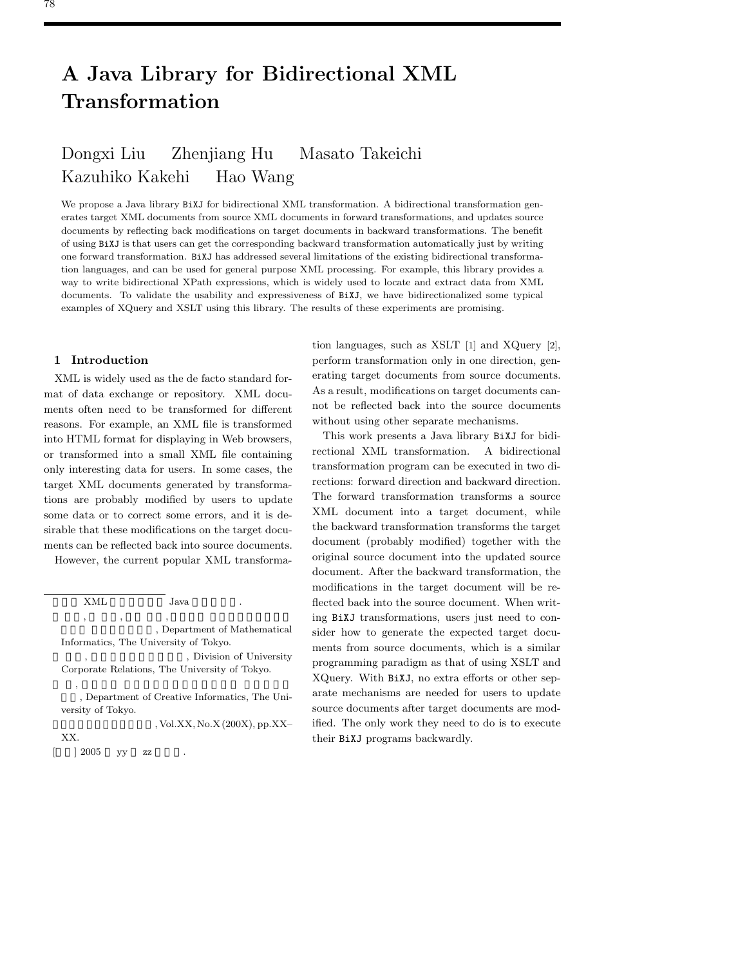## **A Java Library for Bidirectional XML Transformation**

# Dongxi Liu Zhenjiang Hu Masato Takeichi kazuhiko Karehi Harri Wang

We propose a Java library BiXJ for bidirectional XML transformation. A bidirectional transformation generates target XML documents from source XML documents in forward transformations, and updates source documents by reflecting back modifications on target documents in backward transformations. The benefit of using BiXJ is that users can get the corresponding backward transformation automatically just by writing one forward transformation. BiXJ has addressed several limitations of the existing bidirectional transformation languages, and can be used for general purpose XML processing. For example, this library provides a way to write bidirectional XPath expressions, which is widely used to locate and extract data from XML documents. To validate the usability and expressiveness of BiXJ, we have bidirectionalized some typical examples of XQuery and XSLT using this library. The results of these experiments are promising.

## **1 Introduction**

XML is widely used as the de facto standard format of data exchange or repository. XML documents often need to be transformed for different reasons. For example, an XML file is transformed into HTML format for displaying in Web browsers, or transformed into a small XML file containing only interesting data for users. In some cases, the target XML documents generated by transformations are probably modified by users to update some data or to correct some errors, and it is desirable that these modifications on the target documents can be reflected back into source documents.

However, the current popular XML transforma-

Corporate Relations, The University of Tokyo.  $\overline{\phantom{a}}$ ,  $\overline{\phantom{a}}$ , Department of Creative Informatics, The Uni-

versity of Tokyo.

, Vol.XX, No.X (200X), pp.XX– XX.  $\begin{bmatrix} 1 & 2005 & yy & zz \end{bmatrix}$ 

tion languages, such as XSLT [1] and XQuery [2], perform transformation only in one direction, generating target documents from source documents. As a result, modifications on target documents cannot be reflected back into the source documents without using other separate mechanisms.

This work presents a Java library BiXJ for bidirectional XML transformation. A bidirectional transformation program can be executed in two directions: forward direction and backward direction. The forward transformation transforms a source XML document into a target document, while the backward transformation transforms the target document (probably modified) together with the original source document into the updated source document. After the backward transformation, the modifications in the target document will be reflected back into the source document. When writing BiXJ transformations, users just need to consider how to generate the expected target documents from source documents, which is a similar programming paradigm as that of using XSLT and XQuery. With BiXJ, no extra efforts or other separate mechanisms are needed for users to update source documents after target documents are modified. The only work they need to do is to execute their BiXJ programs backwardly.

XML Java 劉 東喜, 胡 振江, 武市 正人, 東京大学 大学院情報理工学系

<sup>,</sup> Department of Mathematical Informatics, The University of Tokyo. , Division of University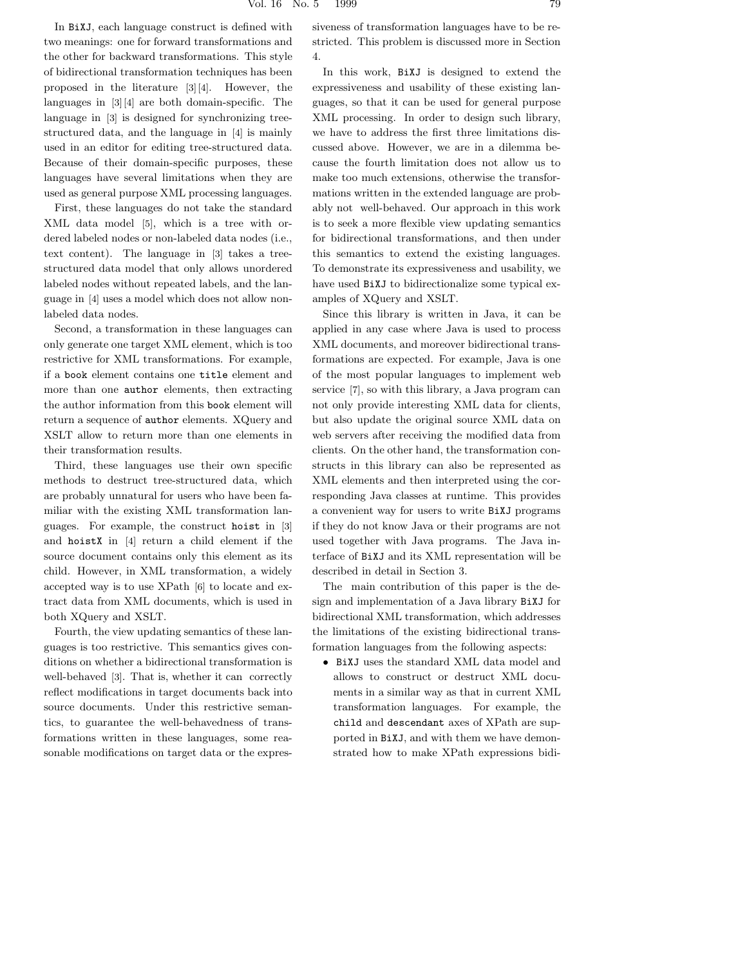In BiXJ, each language construct is defined with two meanings: one for forward transformations and the other for backward transformations. This style of bidirectional transformation techniques has been proposed in the literature [3][4]. However, the languages in [3][4] are both domain-specific. The language in [3] is designed for synchronizing treestructured data, and the language in [4] is mainly used in an editor for editing tree-structured data. Because of their domain-specific purposes, these languages have several limitations when they are used as general purpose XML processing languages.

First, these languages do not take the standard XML data model [5], which is a tree with ordered labeled nodes or non-labeled data nodes (i.e., text content). The language in [3] takes a treestructured data model that only allows unordered labeled nodes without repeated labels, and the language in [4] uses a model which does not allow nonlabeled data nodes.

Second, a transformation in these languages can only generate one target XML element, which is too restrictive for XML transformations. For example, if a book element contains one title element and more than one author elements, then extracting the author information from this book element will return a sequence of author elements. XQuery and XSLT allow to return more than one elements in their transformation results.

Third, these languages use their own specific methods to destruct tree-structured data, which are probably unnatural for users who have been familiar with the existing XML transformation languages. For example, the construct hoist in [3] and hoistX in [4] return a child element if the source document contains only this element as its child. However, in XML transformation, a widely accepted way is to use XPath [6] to locate and extract data from XML documents, which is used in both XQuery and XSLT.

Fourth, the view updating semantics of these languages is too restrictive. This semantics gives conditions on whether a bidirectional transformation is well-behaved [3]. That is, whether it can correctly reflect modifications in target documents back into source documents. Under this restrictive semantics, to guarantee the well-behavedness of transformations written in these languages, some reasonable modifications on target data or the expressiveness of transformation languages have to be restricted. This problem is discussed more in Section 4.

In this work, BiXJ is designed to extend the expressiveness and usability of these existing languages, so that it can be used for general purpose XML processing. In order to design such library, we have to address the first three limitations discussed above. However, we are in a dilemma because the fourth limitation does not allow us to make too much extensions, otherwise the transformations written in the extended language are probably not well-behaved. Our approach in this work is to seek a more flexible view updating semantics for bidirectional transformations, and then under this semantics to extend the existing languages. To demonstrate its expressiveness and usability, we have used BiXJ to bidirectionalize some typical examples of XQuery and XSLT.

Since this library is written in Java, it can be applied in any case where Java is used to process XML documents, and moreover bidirectional transformations are expected. For example, Java is one of the most popular languages to implement web service [7], so with this library, a Java program can not only provide interesting XML data for clients, but also update the original source XML data on web servers after receiving the modified data from clients. On the other hand, the transformation constructs in this library can also be represented as XML elements and then interpreted using the corresponding Java classes at runtime. This provides a convenient way for users to write BiXJ programs if they do not know Java or their programs are not used together with Java programs. The Java interface of BiXJ and its XML representation will be described in detail in Section 3.

The main contribution of this paper is the design and implementation of a Java library BiXJ for bidirectional XML transformation, which addresses the limitations of the existing bidirectional transformation languages from the following aspects:

• BiXJ uses the standard XML data model and allows to construct or destruct XML documents in a similar way as that in current XML transformation languages. For example, the child and descendant axes of XPath are supported in BiXJ, and with them we have demonstrated how to make XPath expressions bidi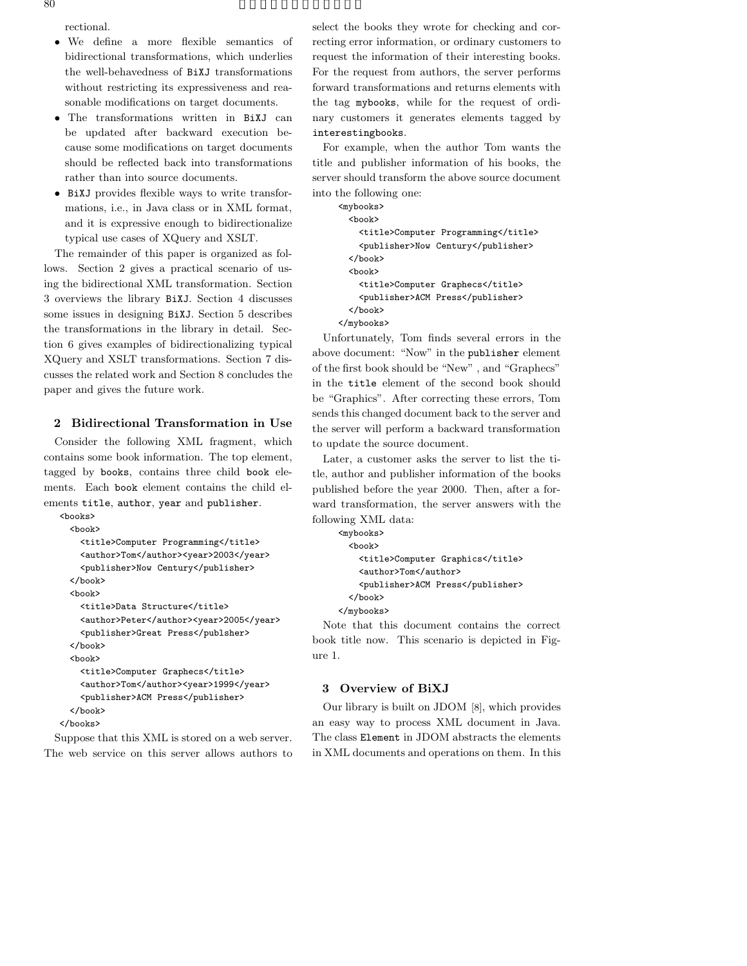rectional.

- We define a more flexible semantics of bidirectional transformations, which underlies the well-behavedness of BiXJ transformations without restricting its expressiveness and reasonable modifications on target documents.
- The transformations written in BiXJ can be updated after backward execution because some modifications on target documents should be reflected back into transformations rather than into source documents.
- BiXJ provides flexible ways to write transformations, i.e., in Java class or in XML format, and it is expressive enough to bidirectionalize typical use cases of XQuery and XSLT.

The remainder of this paper is organized as follows. Section 2 gives a practical scenario of using the bidirectional XML transformation. Section 3 overviews the library BiXJ. Section 4 discusses some issues in designing BiXJ. Section 5 describes the transformations in the library in detail. Section 6 gives examples of bidirectionalizing typical XQuery and XSLT transformations. Section 7 discusses the related work and Section 8 concludes the paper and gives the future work.

## **2 Bidirectional Transformation in Use**

Consider the following XML fragment, which contains some book information. The top element, tagged by books, contains three child book elements. Each book element contains the child elements title, author, year and publisher. <books>

```
<book>
    <title>Computer Programming</title>
    <author>Tom</author><year>2003</year>
    <publisher>Now Century</publisher>
  </book>
  <book>
    <title>Data Structure</title>
    <author>Peter</author><year>2005</year>
    <publisher>Great Press</publsher>
  </book>
  <book>
    <title>Computer Graphecs</title>
    <author>Tom</author><year>1999</year>
    <publisher>ACM Press</publisher>
  </book>
</books>
```
Suppose that this XML is stored on a web server. The web service on this server allows authors to select the books they wrote for checking and correcting error information, or ordinary customers to request the information of their interesting books. For the request from authors, the server performs forward transformations and returns elements with the tag mybooks, while for the request of ordinary customers it generates elements tagged by interestingbooks.

For example, when the author Tom wants the title and publisher information of his books, the server should transform the above source document into the following one:

```
<mybooks>
  <book>
    <title>Computer Programming</title>
    <publisher>Now Century</publisher>
  </book>
  <book>
    <title>Computer Graphecs</title>
    <publisher>ACM Press</publisher>
  </book>
</mybooks>
```
Unfortunately, Tom finds several errors in the above document: "Now" in the publisher element of the first book should be "New" , and "Graphecs" in the title element of the second book should be "Graphics". After correcting these errors, Tom sends this changed document back to the server and the server will perform a backward transformation to update the source document.

Later, a customer asks the server to list the title, author and publisher information of the books published before the year 2000. Then, after a forward transformation, the server answers with the following XML data:

```
<mybooks>
  <book>
    <title>Computer Graphics</title>
   <author>Tom</author>
   <publisher>ACM Press</publisher>
  </book>
</mybooks>
```
Note that this document contains the correct book title now. This scenario is depicted in Figure 1.

#### **3 Overview of BiXJ**

Our library is built on JDOM [8], which provides an easy way to process XML document in Java. The class Element in JDOM abstracts the elements in XML documents and operations on them. In this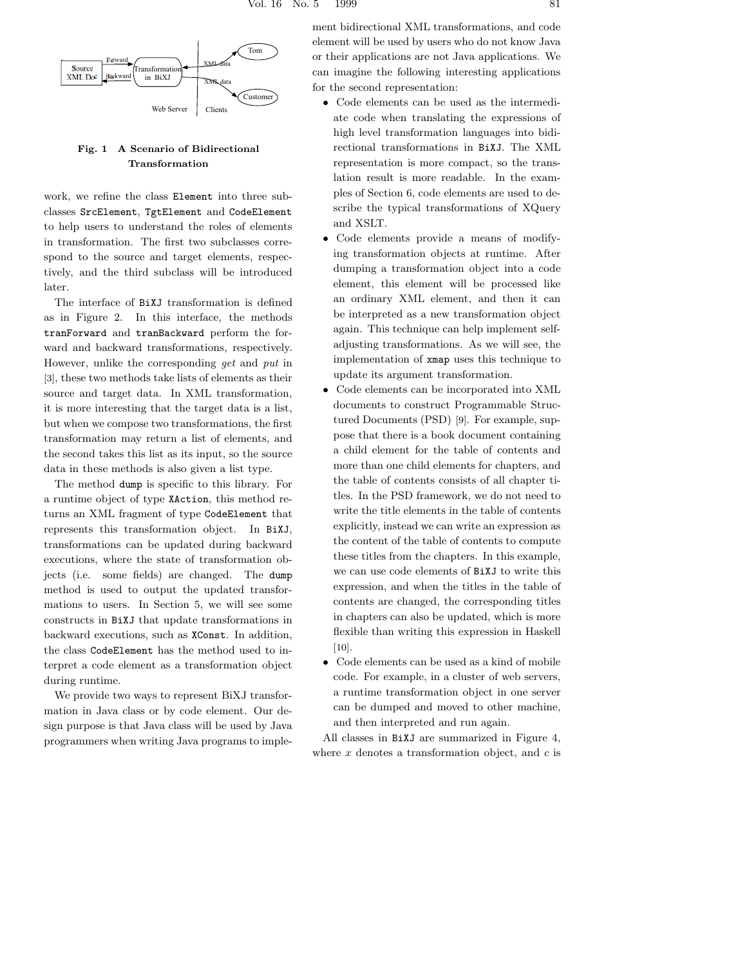

## **Fig. 1 A Scenario of Bidirectional Transformation**

work, we refine the class Element into three subclasses SrcElement, TgtElement and CodeElement to help users to understand the roles of elements in transformation. The first two subclasses correspond to the source and target elements, respectively, and the third subclass will be introduced later.

The interface of BiXJ transformation is defined as in Figure 2. In this interface, the methods tranForward and tranBackward perform the forward and backward transformations, respectively. However, unlike the corresponding *get* and *put* in [3], these two methods take lists of elements as their source and target data. In XML transformation, it is more interesting that the target data is a list, but when we compose two transformations, the first transformation may return a list of elements, and the second takes this list as its input, so the source data in these methods is also given a list type.

The method dump is specific to this library. For a runtime object of type XAction, this method returns an XML fragment of type CodeElement that represents this transformation object. In BiXJ, transformations can be updated during backward executions, where the state of transformation objects (i.e. some fields) are changed. The dump method is used to output the updated transformations to users. In Section 5, we will see some constructs in BiXJ that update transformations in backward executions, such as XConst. In addition, the class CodeElement has the method used to interpret a code element as a transformation object during runtime.

We provide two ways to represent BiXJ transformation in Java class or by code element. Our design purpose is that Java class will be used by Java programmers when writing Java programs to implement bidirectional XML transformations, and code element will be used by users who do not know Java or their applications are not Java applications. We can imagine the following interesting applications for the second representation:

- Code elements can be used as the intermediate code when translating the expressions of high level transformation languages into bidirectional transformations in BiXJ. The XML representation is more compact, so the translation result is more readable. In the examples of Section 6, code elements are used to describe the typical transformations of XQuery and XSLT.
- Code elements provide a means of modifying transformation objects at runtime. After dumping a transformation object into a code element, this element will be processed like an ordinary XML element, and then it can be interpreted as a new transformation object again. This technique can help implement selfadjusting transformations. As we will see, the implementation of xmap uses this technique to update its argument transformation.
- Code elements can be incorporated into XML documents to construct Programmable Structured Documents (PSD) [9]. For example, suppose that there is a book document containing a child element for the table of contents and more than one child elements for chapters, and the table of contents consists of all chapter titles. In the PSD framework, we do not need to write the title elements in the table of contents explicitly, instead we can write an expression as the content of the table of contents to compute these titles from the chapters. In this example, we can use code elements of BiXJ to write this expression, and when the titles in the table of contents are changed, the corresponding titles in chapters can also be updated, which is more flexible than writing this expression in Haskell [10].
- Code elements can be used as a kind of mobile code. For example, in a cluster of web servers, a runtime transformation object in one server can be dumped and moved to other machine, and then interpreted and run again.

All classes in BiXJ are summarized in Figure 4, where *x* denotes a transformation object, and *c* is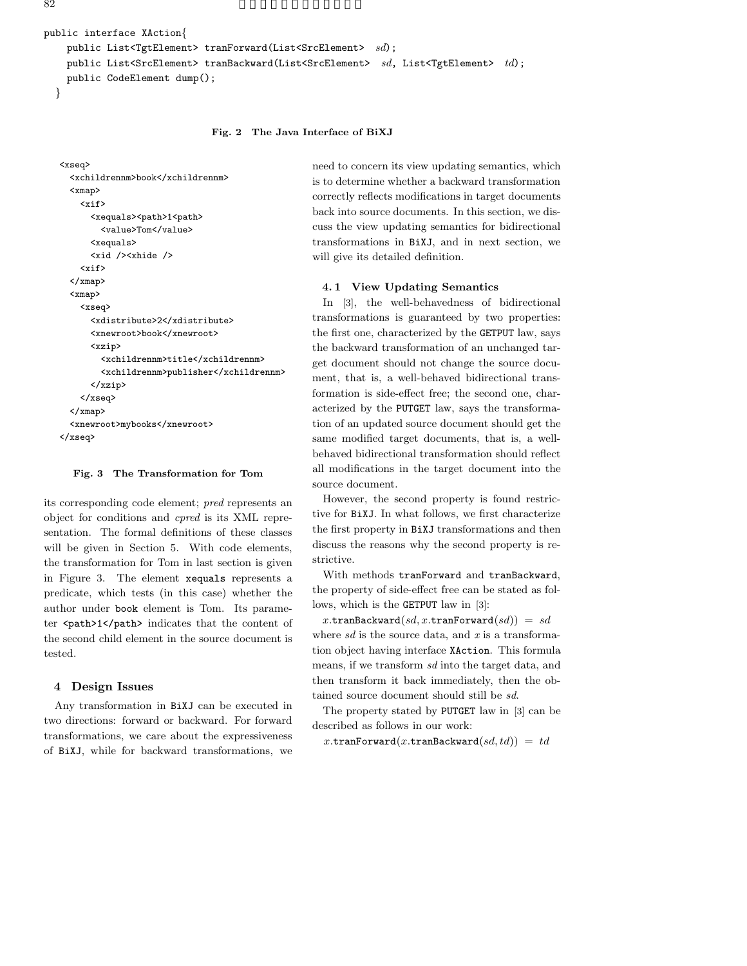```
public interface XAction{
    public List<TgtElement> tranForward(List<SrcElement> sd);
    public List<SrcElement> tranBackward(List<SrcElement> sd, List<TgtElement> td);
    public CodeElement dump();
  }
```
#### **Fig. 2 The Java Interface of BiXJ**

```
<xseq>
  <xchildrennm>book</xchildrennm>
  <xmap>
    <xif>
      <xequals><path>1<path>
        <value>Tom</value>
      <xequals>
      <xid /><xhide />
    \langle xif \rangle</xmap>
  <xmap>
    <xseq>
      <xdistribute>2</xdistribute>
      <xnewroot>book</xnewroot>
      <xzip>
        <xchildrennm>title</xchildrennm>
        <xchildrennm>publisher</xchildrennm>
      </xzip>
    </xseq>
  </xmap>
  <xnewroot>mybooks</xnewroot>
</xseq>
```
#### **Fig. 3 The Transformation for Tom**

its corresponding code element; *pred* represents an object for conditions and *cpred* is its XML representation. The formal definitions of these classes will be given in Section 5. With code elements, the transformation for Tom in last section is given in Figure 3. The element xequals represents a predicate, which tests (in this case) whether the author under book element is Tom. Its parameter <path>1</path> indicates that the content of the second child element in the source document is tested.

#### **4 Design Issues**

Any transformation in BiXJ can be executed in two directions: forward or backward. For forward transformations, we care about the expressiveness of BiXJ, while for backward transformations, we need to concern its view updating semantics, which is to determine whether a backward transformation correctly reflects modifications in target documents back into source documents. In this section, we discuss the view updating semantics for bidirectional transformations in BiXJ, and in next section, we will give its detailed definition.

#### **4. 1 View Updating Semantics**

In [3], the well-behavedness of bidirectional transformations is guaranteed by two properties: the first one, characterized by the GETPUT law, says the backward transformation of an unchanged target document should not change the source document, that is, a well-behaved bidirectional transformation is side-effect free; the second one, characterized by the PUTGET law, says the transformation of an updated source document should get the same modified target documents, that is, a wellbehaved bidirectional transformation should reflect all modifications in the target document into the source document.

However, the second property is found restrictive for BiXJ. In what follows, we first characterize the first property in BiXJ transformations and then discuss the reasons why the second property is restrictive.

With methods tranForward and tranBackward, the property of side-effect free can be stated as follows, which is the GETPUT law in [3]:

 $x.\texttt{tranBackward}(sd, x.\texttt{tranForward}(sd)) = sd$ where *sd* is the source data, and *x* is a transformation object having interface XAction. This formula means, if we transform *sd* into the target data, and then transform it back immediately, then the obtained source document should still be *sd*.

The property stated by PUTGET law in [3] can be described as follows in our work:

 $x$ .tranForward $(x$ .tranBackward $(sd, td)$ ) =  $td$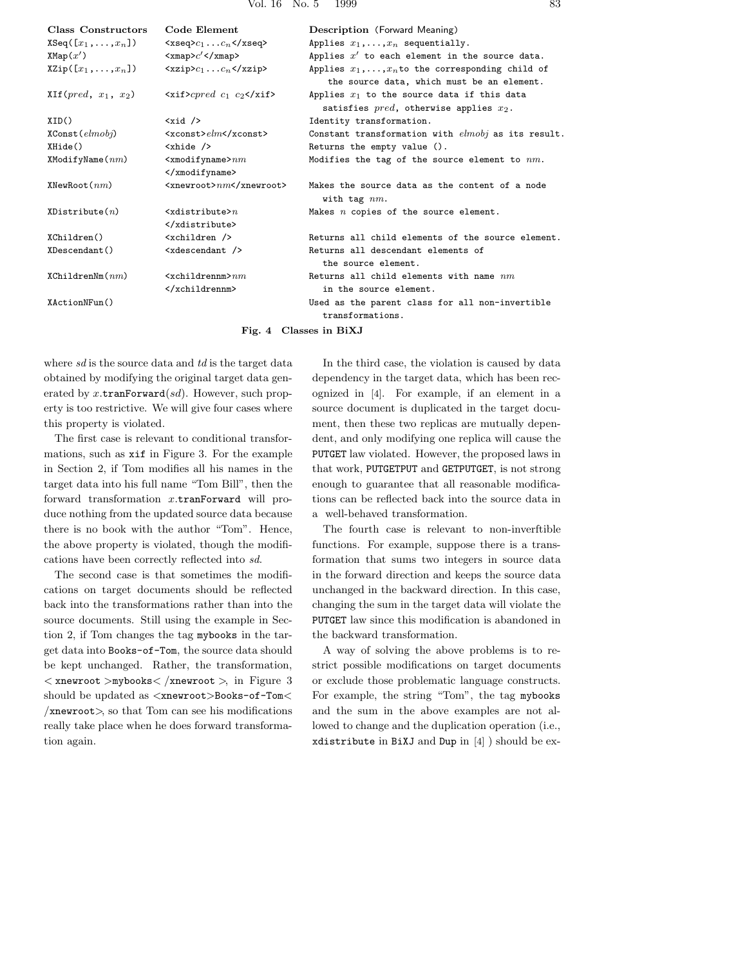| Class Constructors              | Code Element                                                               | Description (Forward Meaning)                                                                          |
|---------------------------------|----------------------------------------------------------------------------|--------------------------------------------------------------------------------------------------------|
| $XSeq([x_1,\ldots,x_n])$        | $\langle x \text{seq} \rangle c_1 \ldots c_n \langle x \text{seq} \rangle$ | Applies $x_1, \ldots, x_n$ sequentially.                                                               |
| XMap(x')                        | $<$ xmap> $c'$                                                             | Applies $x'$ to each element in the source data.                                                       |
| $X\text{Zip}([x_1,\ldots,x_n])$ | $\langle xzip2c_1 \ldots c_n \langle xzip2 \rangle$                        | Applies $x_1, \ldots, x_n$ to the corresponding child of<br>the source data, which must be an element. |
| $XIf(pred, x_1, x_2)$           | $\langle \text{xi} \rangle$ $\langle \text{cos} \rangle$                   | Applies $x_1$ to the source data if this data<br>satisfies $pred$ , otherwise applies $x_2$ .          |
| XID()                           | $\langle xid \rangle$                                                      | Identity transformation.                                                                               |
| $XConst$ ( $elmobj$ )           | $<$ xconst>elm                                                             | Constant transformation with $elmobj$ as its result.                                                   |
| XHide()                         | $\langle$ xhide $\rangle$                                                  | Returns the empty value ().                                                                            |
| $X$ ModifyName $(nm)$           | $\leq$ xmodifyname> $nm$                                                   | Modifies the tag of the source element to $nm$ .                                                       |
|                                 |                                                                            |                                                                                                        |
| XNewRoot(nm)                    | $\langle$ xnewroot>nm                                                      | Makes the source data as the content of a node<br>with tag $nm$ .                                      |
| XDistribute(n)                  | $\forall x$ distribute $>n$                                                | Makes $n$ copies of the source element.                                                                |
|                                 |                                                                            |                                                                                                        |
| XChildren()                     | $\zeta$ children $\zeta$                                                   | Returns all child elements of the source element.                                                      |
| XDescendant()                   | $\langle x$ descendant $\langle x \rangle$                                 | Returns all descendant elements of<br>the source element.                                              |
| XChildrenNm(nm)                 | $\langle x$ childrennm $\rangle$ nm                                        | Returns all child elements with name $nm$                                                              |
|                                 |                                                                            | in the source element.                                                                                 |
| XActionNFun()                   |                                                                            | Used as the parent class for all non-invertible<br>transformations.                                    |
|                                 |                                                                            | $\mathbf{r}$ . The set of $\mathbf{r}$                                                                 |

**Fig. 4 Classes in BiXJ**

where *sd* is the source data and *td* is the target data obtained by modifying the original target data generated by *x.*tranForward(*sd*). However, such property is too restrictive. We will give four cases where this property is violated.

The first case is relevant to conditional transformations, such as xif in Figure 3. For the example in Section 2, if Tom modifies all his names in the target data into his full name "Tom Bill", then the forward transformation *x.*tranForward will produce nothing from the updated source data because there is no book with the author "Tom". Hence, the above property is violated, though the modifications have been correctly reflected into *sd*.

The second case is that sometimes the modifications on target documents should be reflected back into the transformations rather than into the source documents. Still using the example in Section 2, if Tom changes the tag mybooks in the target data into Books-of-Tom, the source data should be kept unchanged. Rather, the transformation, *<* xnewroot *>*mybooks*< /*xnewroot *>*, in Figure 3 should be updated as *<*xnewroot*>*Books-of-Tom*< /*xnewroot*>*, so that Tom can see his modifications really take place when he does forward transformation again.

In the third case, the violation is caused by data dependency in the target data, which has been recognized in [4]. For example, if an element in a source document is duplicated in the target document, then these two replicas are mutually dependent, and only modifying one replica will cause the PUTGET law violated. However, the proposed laws in that work, PUTGETPUT and GETPUTGET, is not strong enough to guarantee that all reasonable modifications can be reflected back into the source data in a well-behaved transformation.

The fourth case is relevant to non-inverftible functions. For example, suppose there is a transformation that sums two integers in source data in the forward direction and keeps the source data unchanged in the backward direction. In this case, changing the sum in the target data will violate the PUTGET law since this modification is abandoned in the backward transformation.

A way of solving the above problems is to restrict possible modifications on target documents or exclude those problematic language constructs. For example, the string "Tom", the tag mybooks and the sum in the above examples are not allowed to change and the duplication operation (i.e., xdistribute in BiXJ and Dup in [4] ) should be ex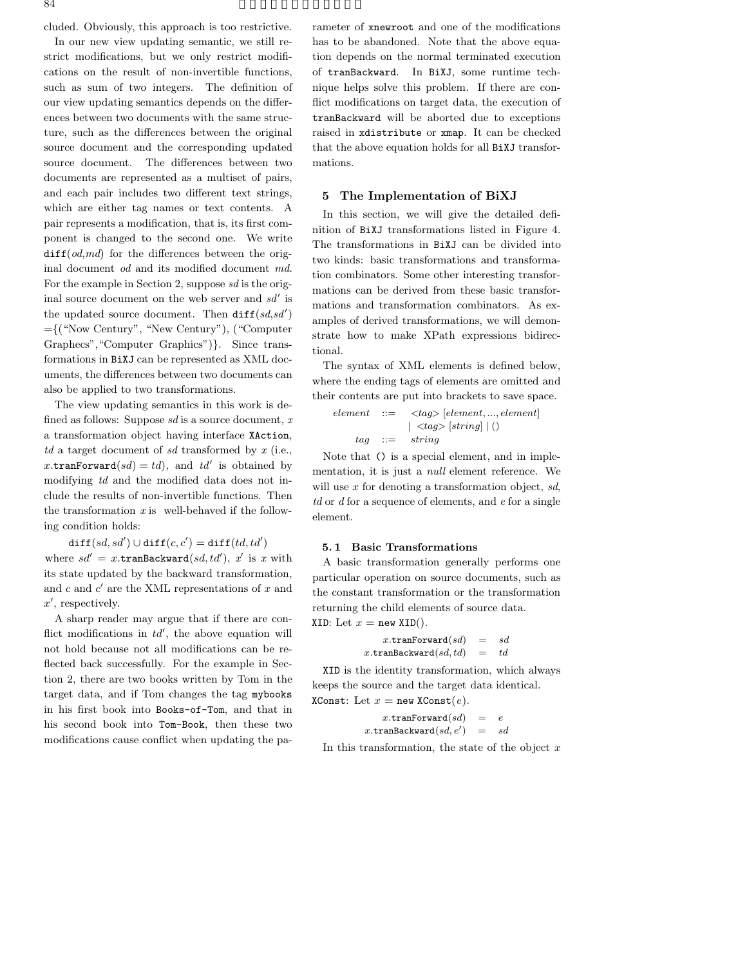cluded. Obviously, this approach is too restrictive.

In our new view updating semantic, we still restrict modifications, but we only restrict modifications on the result of non-invertible functions, such as sum of two integers. The definition of our view updating semantics depends on the differences between two documents with the same structure, such as the differences between the original source document and the corresponding updated source document. The differences between two documents are represented as a multiset of pairs, and each pair includes two different text strings, which are either tag names or text contents. A pair represents a modification, that is, its first component is changed to the second one. We write diff(*od*,*md*) for the differences between the original document *od* and its modified document *md*. For the example in Section 2, suppose *sd* is the original source document on the web server and *sd*- is the updated source document. Then  $diff(sd, sd')$ ={("Now Century", "New Century"), ("Computer Graphecs","Computer Graphics")}. Since transformations in BiXJ can be represented as XML documents, the differences between two documents can also be applied to two transformations.

The view updating semantics in this work is defined as follows: Suppose *sd* is a source document, *x* a transformation object having interface XAction, *td* a target document of *sd* transformed by *x* (i.e.,  $x.\texttt{tranForward}(sd) = td$ , and  $td'$  is obtained by modifying *td* and the modified data does not include the results of non-invertible functions. Then the transformation *x* is well-behaved if the following condition holds:

 $\texttt{diff}(sd, sd') \cup \texttt{diff}(c, c') = \texttt{diff}(td, td')$ 

where  $sd' = x.\text{tranBackward}(sd, td'), x'$  is *x* with its state updated by the backward transformation, and *c* and *c'* are the XML representations of *x* and *x*- , respectively.

A sharp reader may argue that if there are conflict modifications in  $td'$ , the above equation will not hold because not all modifications can be reflected back successfully. For the example in Section 2, there are two books written by Tom in the target data, and if Tom changes the tag mybooks in his first book into Books-of-Tom, and that in his second book into Tom-Book, then these two modifications cause conflict when updating the parameter of xnewroot and one of the modifications has to be abandoned. Note that the above equation depends on the normal terminated execution of tranBackward. In BiXJ, some runtime technique helps solve this problem. If there are conflict modifications on target data, the execution of tranBackward will be aborted due to exceptions raised in xdistribute or xmap. It can be checked that the above equation holds for all BiXJ transformations.

## **5 The Implementation of BiXJ**

In this section, we will give the detailed definition of BiXJ transformations listed in Figure 4. The transformations in BiXJ can be divided into two kinds: basic transformations and transformation combinators. Some other interesting transformations can be derived from these basic transformations and transformation combinators. As examples of derived transformations, we will demonstrate how to make XPath expressions bidirectional.

The syntax of XML elements is defined below, where the ending tags of elements are omitted and their contents are put into brackets to save space.

*element* ::= *<tag>* [*element, ..., element*] | *<tag>* [*string*] | () *tag* ::= *string*

Note that () is a special element, and in implementation, it is just a *null* element reference. We will use *x* for denoting a transformation object, *sd*, *td* or *d* for a sequence of elements, and *e* for a single element.

#### **5. 1 Basic Transformations**

A basic transformation generally performs one particular operation on source documents, such as the constant transformation or the transformation returning the child elements of source data. XID: Let  $x = new XID()$ .

> *x.*tranForward(*sd*) = *sd x.*tranBackward(*sd, td*) = *td*

XID is the identity transformation, which always keeps the source and the target data identical. XConst: Let  $x = new XConst(e)$ .

> $x.\texttt{tranForward}(sd) = e$  $x.\mathtt{tranBackward}(sd, e') \quad = \quad sd$

In this transformation, the state of the object *x*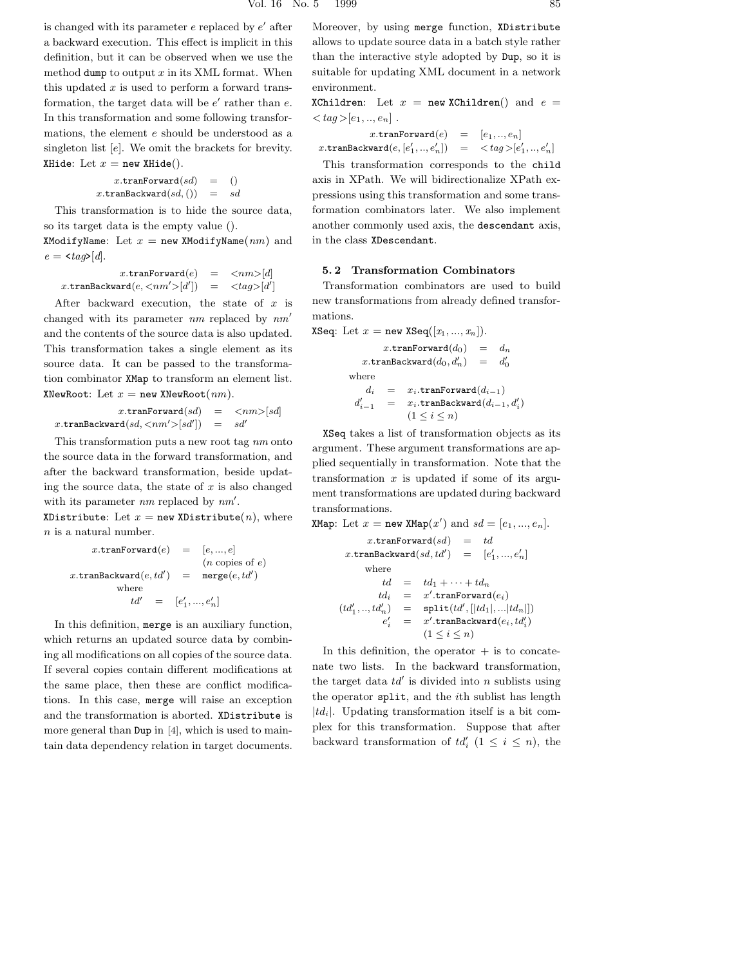is changed with its parameter *e* replaced by *e*<sup>'</sup> after a backward execution. This effect is implicit in this definition, but it can be observed when we use the method dump to output  $x$  in its XML format. When this updated *x* is used to perform a forward transformation, the target data will be  $e'$  rather than  $e$ . In this transformation and some following transformations, the element *e* should be understood as a singleton list [*e*]. We omit the brackets for brevity. XHide: Let  $x = new$  XHide().

$$
x.\mathtt{tranForward}(sd) = ()\\ x.\mathtt{tranBackward}(sd,()) = sd
$$

This transformation is to hide the source data, so its target data is the empty value ().

XModifyName: Let  $x =$  new XModifyName $(nm)$  and  $e = \langle taq \rangle [d].$ 

 $x.\text{tranForward}(e) = \langle nm \rangle [d]$  $x.\mathtt{tranBackward}(e, <\!\!nm'\!\!>\!\![d'\!]$  $) = \langle tag \rangle [d']$ 

After backward execution, the state of *x* is changed with its parameter *nm* replaced by *nm* and the contents of the source data is also updated. This transformation takes a single element as its source data. It can be passed to the transformation combinator XMap to transform an element list. XNewRoot: Let  $x = new$  XNewRoot $(nm)$ .

$$
x.\texttt{tranForward}(sd) = \langle nm \rangle [sd]
$$
  

$$
x.\texttt{tranBackward}(sd, \langle nm' \rangle [sd']) = sd'
$$

This transformation puts a new root tag *nm* onto the source data in the forward transformation, and after the backward transformation, beside updating the source data, the state of *x* is also changed with its parameter *nm* replaced by  $nm'$ .

XDistribute: Let  $x = new$  XDistribute(*n*), where *n* is a natural number.

$$
x.\text{tranForward}(e) = [e, ..., e]
$$
  
\n
$$
(n \text{ copies of } e)
$$
  
\n
$$
x.\text{tranBackward}(e, td') = \text{merge}(e, td')
$$
  
\nwhere  
\n
$$
td' = [e'_1, ..., e'_n]
$$

In this definition, merge is an auxiliary function, which returns an updated source data by combining all modifications on all copies of the source data. If several copies contain different modifications at the same place, then these are conflict modifications. In this case, merge will raise an exception and the transformation is aborted. XDistribute is more general than Dup in [4], which is used to maintain data dependency relation in target documents.

Moreover, by using merge function, XDistribute allows to update source data in a batch style rather than the interactive style adopted by Dup, so it is suitable for updating XML document in a network environment.

XChildren: Let  $x = new$  XChildren() and  $e =$  $\langle$ *tag* > [*e*<sub>1</sub>*, .., e*<sub>*n*</sub>] .

 $x.\texttt{tranForward}(e) = [e_1, ..., e_n]$  $x.\texttt{tranBackward}(e,[e'_1,..,e'_n]) = \langle tag \rangle [e'_1,..,e'_n]$ 

This transformation corresponds to the child axis in XPath. We will bidirectionalize XPath expressions using this transformation and some transformation combinators later. We also implement another commonly used axis, the descendant axis, in the class XDescendant.

## **5. 2 Transformation Combinators**

Transformation combinators are used to build new transformations from already defined transformations.

XSeq: Let  $x = \text{new XSeq}([x_1, ..., x_n]).$ 

 $x.\text{tranForward}(d_0) = d_n$  $x.\texttt{tranBackward}(d_0, d'_n) = d'_0$ where  $d_i$  =  $x_i$ .tranForward $(d_{i-1})$ <br> *i* =  $x_i$ .tranBackward $(d_{i-1})$  $d_i'$  $x_i - 1$  =  $x_i$ *,*tranBackward $(d_{i-1}, d'_i)$  $(1 \leq i \leq n)$ 

XSeq takes a list of transformation objects as its argument. These argument transformations are applied sequentially in transformation. Note that the transformation *x* is updated if some of its argument transformations are updated during backward transformations.

```
XMap: Let x = \text{new } \text{XMap}(x') and sd = [e_1, ..., e_n].x.tranForward(sd) = td
         x.\mathtt{tranBackward}(sd, td') = [e'_1\{e'_1, ..., e'_n\}where
                  td = td_1 + \cdots + td_ntd_i = x'.\texttt{tranForward}(e_i)(td'_1, ..., td'_n) = \text{split}(td', [|td_1|, ... |td_n|])e-

                    x' = x'.\texttt{tranBackward}(e_i, td'_i)(1 \le i \le n)
```
In this definition, the operator  $+$  is to concatenate two lists. In the backward transformation, the target data  $td'$  is divided into  $n$  sublists using the operator split, and the *i*th sublist has length  $|td_i|$ . Updating transformation itself is a bit complex for this transformation. Suppose that after backward transformation of  $td'_{i}$  ( $1 \leq i \leq n$ ), the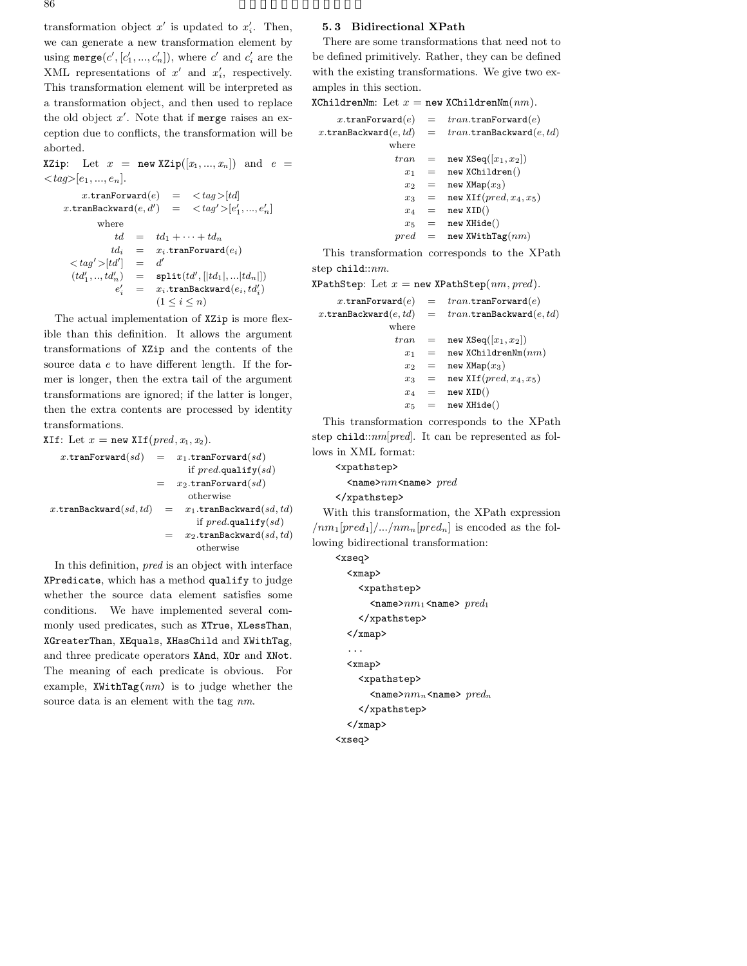86  $\overline{\phantom{a}}$ 

transformation object  $x'$  is updated to  $x'_i$ . Then, we can generate a new transformation element by using  $\texttt{merge}(c', [c'_1, ..., c'_n]),$  where  $c'$  and  $c'_i$  are the XML representations of  $x'$  and  $x'_i$ , respectively. This transformation element will be interpreted as a transformation object, and then used to replace the old object x'. Note that if merge raises an exception due to conflicts, the transformation will be aborted.

XZip: Let  $x = \text{new XZip}([x_1, ..., x_n])$  and  $e =$  $\langle \textit{tag} \geq [e_1, ..., e_n].$ 

 $x.\text{tranForward}(e) = \langle tag \rangle[td]$  $x.\texttt{tranBackward}(e, d') = \langle tag' \rangle[e'_1, ..., e'_n]$ where  $td = td_1 + \cdots + td_n$  $td_i = x_i$ **.tranForward** $(e_i)$  $\langle$  *tag* $\rangle$   $>$   $\lceil t d' \rceil$  $\begin{array}{cccc} \n\end{array}$  =  $d'$  $(td'_1, \ldots, td'_n)$  $n'_n$  =  $\text{split}(td', [|td_1|, ... |td_n|])$ *e*-  $\mathcal{L}'_i = x_i$ .tranBackward $(e_i, td'_i)$  $(1 \leq i \leq n)$ 

The actual implementation of XZip is more flexible than this definition. It allows the argument transformations of XZip and the contents of the source data *e* to have different length. If the former is longer, then the extra tail of the argument transformations are ignored; if the latter is longer, then the extra contents are processed by identity transformations.

XIf: Let  $x = new$  XIf( $pred, x_1, x_2$ ).  $x.\texttt{tranForward}(sd) = x_1.\texttt{tranForward}(sd)$ if *pred.*qualify(*sd*)  $= x_2$ .tranForward(*sd*) otherwise  $x.\text{tranBackward}(sd, td) = x_1.\text{tranBackward}(sd, td)$ if *pred.*qualify(*sd*) = *x*2*.*tranBackward(*sd, td*)

otherwise

In this definition, *pred* is an object with interface XPredicate, which has a method qualify to judge whether the source data element satisfies some conditions. We have implemented several commonly used predicates, such as XTrue, XLessThan, XGreaterThan, XEquals, XHasChild and XWithTag, and three predicate operators XAnd, XOr and XNot. The meaning of each predicate is obvious. For example, XWithTag(*nm*) is to judge whether the source data is an element with the tag *nm*.

#### **5. 3 Bidirectional XPath**

There are some transformations that need not to be defined primitively. Rather, they can be defined with the existing transformations. We give two examples in this section.

 $XChildrenNm: Let  $x = new XChildrenNm(nm)$ .$ 

|                                 | x.tranForward $(e)$ = $tran$ .tranForward $(e)$                                                                                     |
|---------------------------------|-------------------------------------------------------------------------------------------------------------------------------------|
|                                 | x.tranBackward $(e, td)$ = $tran$ .tranBackward $(e, td)$                                                                           |
| where                           |                                                                                                                                     |
|                                 | $tran = new XSeq( x_1, x_2 )$                                                                                                       |
|                                 | $x_1 = new$ XChildren()                                                                                                             |
|                                 | $x_2 =$ new XMap $(x_3)$                                                                                                            |
|                                 | $x_3 = \text{new }\text{XIf}(pred, x_4, x_5)$                                                                                       |
|                                 | $x_4 =$ new XID()                                                                                                                   |
|                                 | $x_5 =$ new XHide()                                                                                                                 |
|                                 | $pred = new XWithTag(nm)$                                                                                                           |
| the contract of the contract of | $\mathbf{1}$ . $\mathbf{1}$ $\mathbf{1}$ $\mathbf{1}$ $\mathbf{1}$ $\mathbf{1}$ $\mathbf{1}$ $\mathbf{1}$ $\mathbf{1}$ $\mathbf{1}$ |

This transformation corresponds to the XPath step child::*nm*.

 $XPathStep: Let x = new XPathStep(nm, pred).$  $x.\texttt{tranForward}(e) = tran.\texttt{tranForward}(e)$  $x.\texttt{tranBackward}(e, td) = tran.\texttt{tranBackward}(e, td)$ where  $tran = new XSeq([x_1, x_2])$  $x_1 =$  new XChildrenNm $(nm)$  $x_2 =$  new XMap $(x_3)$  $x_3$  = new XIf( $pred, x_4, x_5$ )  $x_4$  = new XID()  $x_5 =$  new XHide()

This transformation corresponds to the XPath step child::*nm*[*pred*]. It can be represented as follows in XML format:

## <xpathstep>

<name>*nm*<name> *pred*

</xpathstep>

With this transformation, the XPath expression  $\mu/m_1[pred_1]/... / nm_n[pred_n]$  is encoded as the following bidirectional transformation:

<xseq>

```
<xmap>
    <xpathstep>
      <name>nm1<name> pred1
    </xpathstep>
  </xmap>
  ...
  <xmap>
    <xpathstep>
      \langlename>nm_n\langlename>pred_n</xpathstep>
  </xmap>
<xseq>
```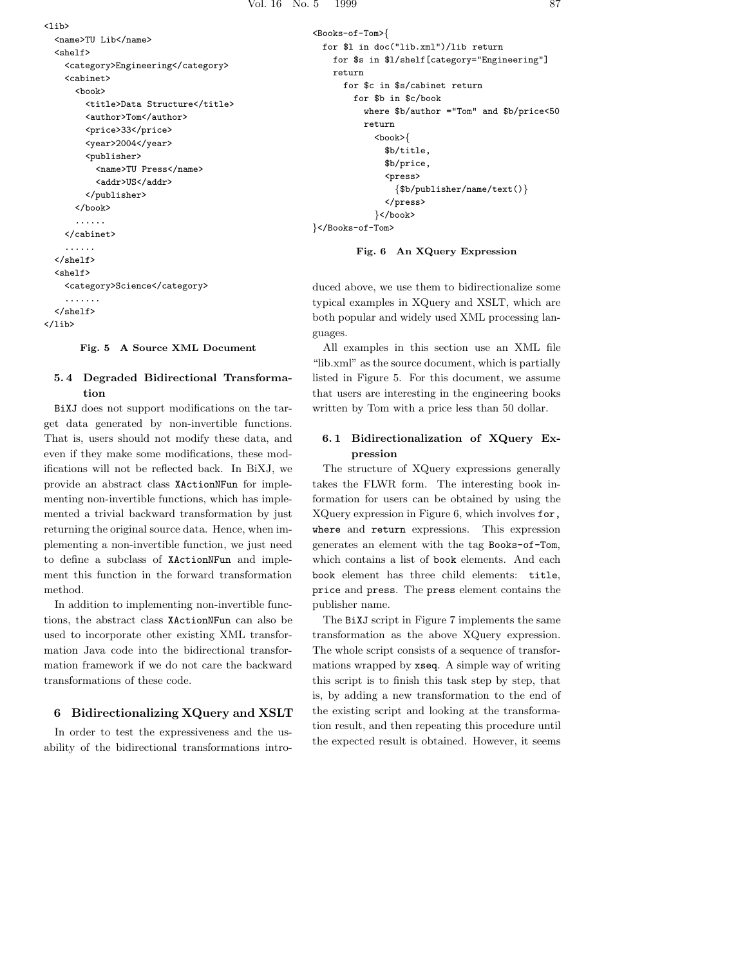```
\langlelib>
  <name>TU Lib</name>
  <shelf>
    <category>Engineering</category>
    <cabinet>
      <hook><title>Data Structure</title>
        <author>Tom</author>
        <price>33</price>
        <year>2004</year>
        <publisher>
          <name>TU Press</name>
          <addr>US</addr>
        </publisher>
      </book>
      ......
    </cabinet>
    ......
  </shelf>
  <shelf>
    <category>Science</category>
    .......
  </shelf>
</lib>
```
#### **Fig. 5 A Source XML Document**

## **5. 4 Degraded Bidirectional Transformation**

BiXJ does not support modifications on the target data generated by non-invertible functions. That is, users should not modify these data, and even if they make some modifications, these modifications will not be reflected back. In BiXJ, we provide an abstract class XActionNFun for implementing non-invertible functions, which has implemented a trivial backward transformation by just returning the original source data. Hence, when implementing a non-invertible function, we just need to define a subclass of XActionNFun and implement this function in the forward transformation method.

In addition to implementing non-invertible functions, the abstract class XActionNFun can also be used to incorporate other existing XML transformation Java code into the bidirectional transformation framework if we do not care the backward transformations of these code.

#### **6 Bidirectionalizing XQuery and XSLT**

In order to test the expressiveness and the usability of the bidirectional transformations intro-

```
<Books-of-Tom>{
 for $l in doc("lib.xml")/lib return
   for $s in $l/shelf[category="Engineering"]
   return
      for $c in $s/cabinet return
        for $b in $c/book
          where $b/author ="Tom" and $b/price<50
          return
            <book>{
              $b/title,
              $b/price,
              <press>
                {$b/publisher/name/text()}
              </press>
            }</book>
}</Books-of-Tom>
```
#### **Fig. 6 An XQuery Expression**

duced above, we use them to bidirectionalize some typical examples in XQuery and XSLT, which are both popular and widely used XML processing languages.

All examples in this section use an XML file "lib.xml" as the source document, which is partially listed in Figure 5. For this document, we assume that users are interesting in the engineering books written by Tom with a price less than 50 dollar.

## **6. 1 Bidirectionalization of XQuery Expression**

The structure of XQuery expressions generally takes the FLWR form. The interesting book information for users can be obtained by using the XQuery expression in Figure 6, which involves for, where and return expressions. This expression generates an element with the tag Books-of-Tom, which contains a list of book elements. And each book element has three child elements: title, price and press. The press element contains the publisher name.

The BiXJ script in Figure 7 implements the same transformation as the above XQuery expression. The whole script consists of a sequence of transformations wrapped by xseq. A simple way of writing this script is to finish this task step by step, that is, by adding a new transformation to the end of the existing script and looking at the transformation result, and then repeating this procedure until the expected result is obtained. However, it seems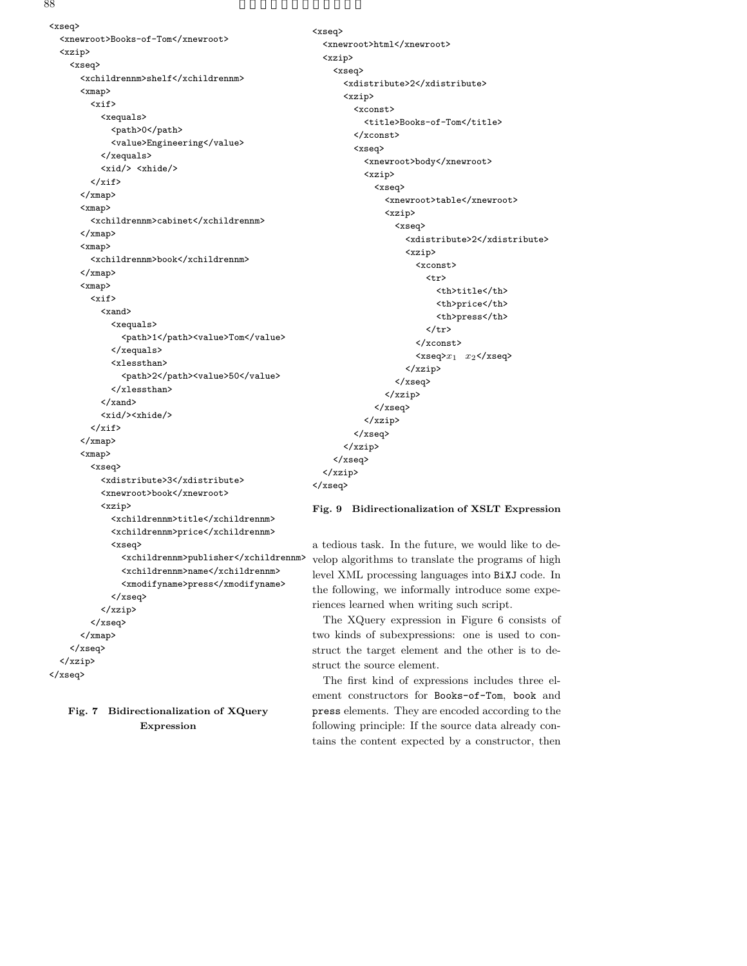88  $\overline{\phantom{a}}$ 

<xseq> <xnewroot>Books-of-Tom</xnewroot> <xzip> <xseq> <xchildrennm>shelf</xchildrennm> <xmap>  $\langle xif \rangle$ <xequals> <path>0</path> <value>Engineering</value> </xequals> <xid/> <xhide/>  $\langle xif \rangle$ </xmap> <xmap> <xchildrennm>cabinet</xchildrennm> </xmap> <xmap> <xchildrennm>book</xchildrennm> </xmap> <xmap> <xif> <xand> <xequals> <path>1</path><value>Tom</value> </xequals> <xlessthan> <path>2</path><value>50</value> </xlessthan> </xand> <xid/><xhide/>  $\langle xif \rangle$ </xmap> <xmap> <xseq> <xdistribute>3</xdistribute> <xnewroot>book</xnewroot> <xzip> <xchildrennm>title</xchildrennm> <xchildrennm>price</xchildrennm> <xseq> <xchildrennm>publisher</xchildrennm> <xchildrennm>name</xchildrennm> <xmodifyname>press</xmodifyname> </xseq> </xzip> </xseq> </xmap> </xseq> </xzip> </xseq>

**Fig. 7 Bidirectionalization of XQuery Expression**

<xseq> <xnewroot>html</xnewroot> <xzip> <xseq> <xdistribute>2</xdistribute> <xzip> <xconst> <title>Books-of-Tom</title> </xconst> <xseq> <xnewroot>body</xnewroot> <xzip> <xseq> <xnewroot>table</xnewroot> <xzip> <xseq> <xdistribute>2</xdistribute> <xzip> <xconst> <tr> <th>title</th> <th>price</th> <th>press</th>  $\langle$ /tr> </xconst> <xseq>*x*<sup>1</sup> *x*2</xseq> </xzip> </xseq> </xzip> </xseq> </xzip> </xseq> </xzip> </xseq> </xzip> </xseq>

## **Fig. 9 Bidirectionalization of XSLT Expression**

a tedious task. In the future, we would like to develop algorithms to translate the programs of high level XML processing languages into BiXJ code. In the following, we informally introduce some experiences learned when writing such script.

The XQuery expression in Figure 6 consists of two kinds of subexpressions: one is used to construct the target element and the other is to destruct the source element.

The first kind of expressions includes three element constructors for Books-of-Tom, book and press elements. They are encoded according to the following principle: If the source data already contains the content expected by a constructor, then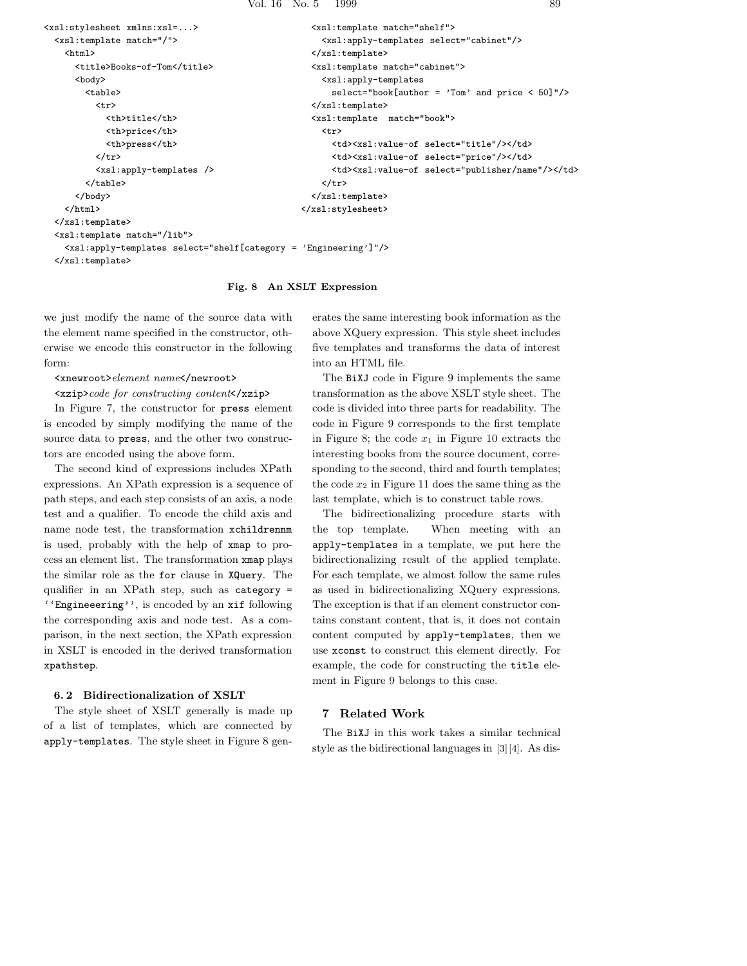```
<xsl:stylesheet xmlns:xsl=...>
  <xsl:template match="/">
    <html><title>Books-of-Tom</title>
      <body>
        <table>
          \langle \text{tr} \rangle<th>title</th>
            <th>price</th>
            <th>press</th>
          \langle/tr>
          <xsl:apply-templates />
        </table>
      </body>
    </html>
  </xsl:template>
  <xsl:template match="/lib">
    <xsl:apply-templates select="shelf[category = 'Engineering']"/>
                                                        <xsl:template match="shelf">
                                                          <xsl:apply-templates select="cabinet"/>
                                                        </xsl:template>
                                                        <xsl:template match="cabinet">
                                                          <xsl:apply-templates
                                                            select="book[author = 'Tom' and price < 50]"/>
                                                        </xsl:template>
                                                        <xsl:template match="book">
                                                          \langletr>
                                                            <td><xsl:value-of select="title"/></td>
                                                            <td><xsl:value-of select="price"/></td>
                                                            <td><xsl:value-of select="publisher/name"/></td>
                                                          \langle/tr>
                                                        </xsl:template>
                                                      </xsl:stylesheet>
```

```
</xsl:template>
```
## **Fig. 8 An XSLT Expression**

we just modify the name of the source data with the element name specified in the constructor, otherwise we encode this constructor in the following form:

#### <xnewroot>*element name*</newroot>

#### <xzip>*code for constructing content*</xzip>

In Figure 7, the constructor for press element is encoded by simply modifying the name of the source data to press, and the other two constructors are encoded using the above form.

The second kind of expressions includes XPath expressions. An XPath expression is a sequence of path steps, and each step consists of an axis, a node test and a qualifier. To encode the child axis and name node test, the transformation xchildrennm is used, probably with the help of xmap to process an element list. The transformation xmap plays the similar role as the for clause in XQuery. The qualifier in an XPath step, such as category = ''Engineeering'', is encoded by an xif following the corresponding axis and node test. As a comparison, in the next section, the XPath expression in XSLT is encoded in the derived transformation xpathstep.

#### **6. 2 Bidirectionalization of XSLT**

The style sheet of XSLT generally is made up of a list of templates, which are connected by apply-templates. The style sheet in Figure 8 generates the same interesting book information as the above XQuery expression. This style sheet includes five templates and transforms the data of interest into an HTML file.

The BiXJ code in Figure 9 implements the same transformation as the above XSLT style sheet. The code is divided into three parts for readability. The code in Figure 9 corresponds to the first template in Figure 8; the code  $x_1$  in Figure 10 extracts the interesting books from the source document, corresponding to the second, third and fourth templates; the code  $x_2$  in Figure 11 does the same thing as the last template, which is to construct table rows.

The bidirectionalizing procedure starts with the top template. When meeting with an apply-templates in a template, we put here the bidirectionalizing result of the applied template. For each template, we almost follow the same rules as used in bidirectionalizing XQuery expressions. The exception is that if an element constructor contains constant content, that is, it does not contain content computed by apply-templates, then we use xconst to construct this element directly. For example, the code for constructing the title element in Figure 9 belongs to this case.

#### **7 Related Work**

The BiXJ in this work takes a similar technical style as the bidirectional languages in [3][4]. As dis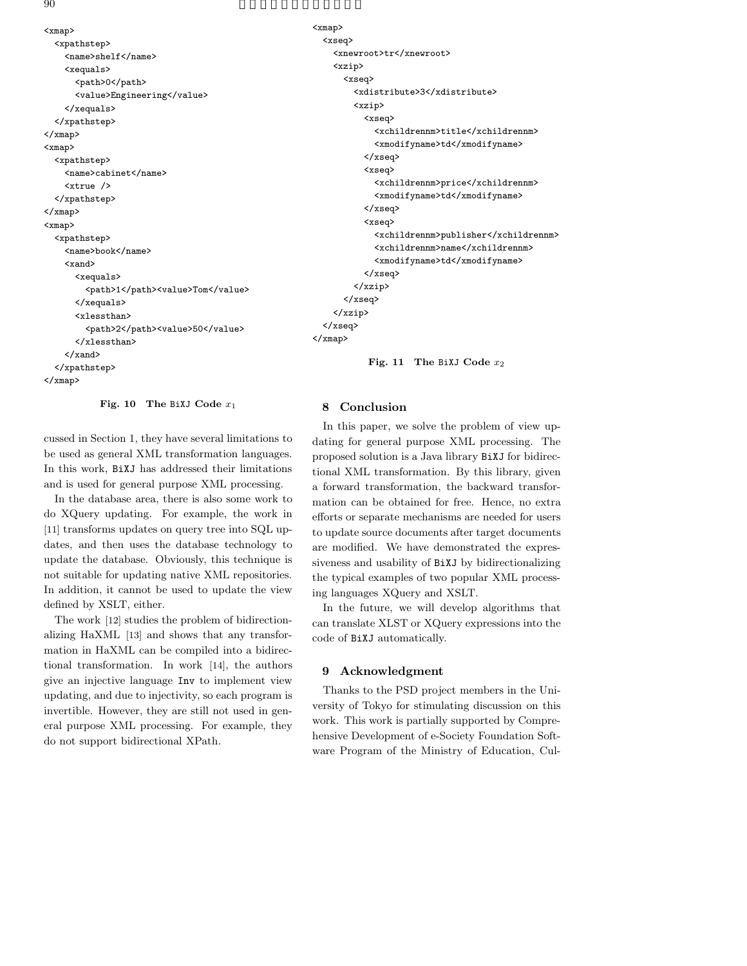$90$ 

```
<xmap>
  <xpathstep>
    <name>shelf</name>
    <xequals>
      <path>0</path>
      <value>Engineering</value>
    </xequals>
  </xpathstep>
</xmap>
<xmap>
  <xpathstep>
    <name>cabinet</name>
    <xtrue />
  </xpathstep>
</xmap>
<xmap>
  <xpathstep>
    <name>book</name>
    <xand>
      <xequals>
        <path>1</path><value>Tom</value>
      </xequals>
      <xlessthan>
        <path>2</path><value>50</value>
      </xlessthan>
    </xand>
  </xpathstep>
</xmap>
```
**Fig. 10 The** BiXJ **Code** *x*<sup>1</sup>

cussed in Section 1, they have several limitations to be used as general XML transformation languages. In this work, BiXJ has addressed their limitations and is used for general purpose XML processing.

In the database area, there is also some work to do XQuery updating. For example, the work in [11] transforms updates on query tree into SQL updates, and then uses the database technology to update the database. Obviously, this technique is not suitable for updating native XML repositories. In addition, it cannot be used to update the view defined by XSLT, either.

The work [12] studies the problem of bidirectionalizing HaXML [13] and shows that any transformation in HaXML can be compiled into a bidirectional transformation. In work [14], the authors give an injective language Inv to implement view updating, and due to injectivity, so each program is invertible. However, they are still not used in general purpose XML processing. For example, they do not support bidirectional XPath.

```
<xmap>
 <xseq>
    <xnewroot>tr</xnewroot>
    <xzip>
      <xseq>
        <xdistribute>3</xdistribute>
        <xzip>
          <xseq>
            <xchildrennm>title</xchildrennm>
            <xmodifyname>td</xmodifyname>
          </xseq>
          <xseq>
            <xchildrennm>price</xchildrennm>
            <xmodifyname>td</xmodifyname>
          </xseq>
          <xseq>
            <xchildrennm>publisher</xchildrennm>
            <xchildrennm>name</xchildrennm>
            <xmodifyname>td</xmodifyname>
          </xseq>
        </xzip>
      </xseq>
    </xzip>
  </xseq>
</xmap>
```
**Fig. 11 The** BiXJ **Code** *x*<sup>2</sup>

#### **8 Conclusion**

In this paper, we solve the problem of view updating for general purpose XML processing. The proposed solution is a Java library BiXJ for bidirectional XML transformation. By this library, given a forward transformation, the backward transformation can be obtained for free. Hence, no extra efforts or separate mechanisms are needed for users to update source documents after target documents are modified. We have demonstrated the expressiveness and usability of BiXJ by bidirectionalizing the typical examples of two popular XML processing languages XQuery and XSLT.

In the future, we will develop algorithms that can translate XLST or XQuery expressions into the code of BiXJ automatically.

## **9 Acknowledgment**

Thanks to the PSD project members in the University of Tokyo for stimulating discussion on this work. This work is partially supported by Comprehensive Development of e-Society Foundation Software Program of the Ministry of Education, Cul